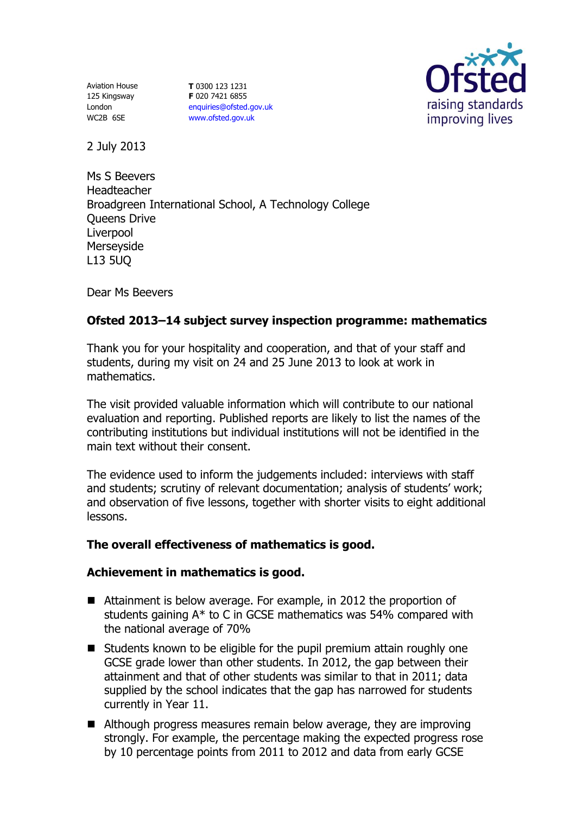Aviation House 125 Kingsway London WC2B 6SE

**T** 0300 123 1231 **F** 020 7421 6855 [enquiries@ofsted.gov.uk](mailto:enquiries@ofsted.gov.uk) [www.ofsted.gov.uk](http://www.ofsted.gov.uk/)



2 July 2013

Ms S Beevers Headteacher Broadgreen International School, A Technology College Queens Drive **Liverpool** Merseyside L13 5UQ

Dear Ms Beevers

# **Ofsted 2013–14 subject survey inspection programme: mathematics**

Thank you for your hospitality and cooperation, and that of your staff and students, during my visit on 24 and 25 June 2013 to look at work in mathematics.

The visit provided valuable information which will contribute to our national evaluation and reporting. Published reports are likely to list the names of the contributing institutions but individual institutions will not be identified in the main text without their consent.

The evidence used to inform the judgements included: interviews with staff and students; scrutiny of relevant documentation; analysis of students' work; and observation of five lessons, together with shorter visits to eight additional lessons.

# **The overall effectiveness of mathematics is good.**

# **Achievement in mathematics is good.**

- Attainment is below average. For example, in 2012 the proportion of students gaining A\* to C in GCSE mathematics was 54% compared with the national average of 70%
- Students known to be eligible for the pupil premium attain roughly one GCSE grade lower than other students. In 2012, the gap between their attainment and that of other students was similar to that in 2011; data supplied by the school indicates that the gap has narrowed for students currently in Year 11.
- Although progress measures remain below average, they are improving strongly. For example, the percentage making the expected progress rose by 10 percentage points from 2011 to 2012 and data from early GCSE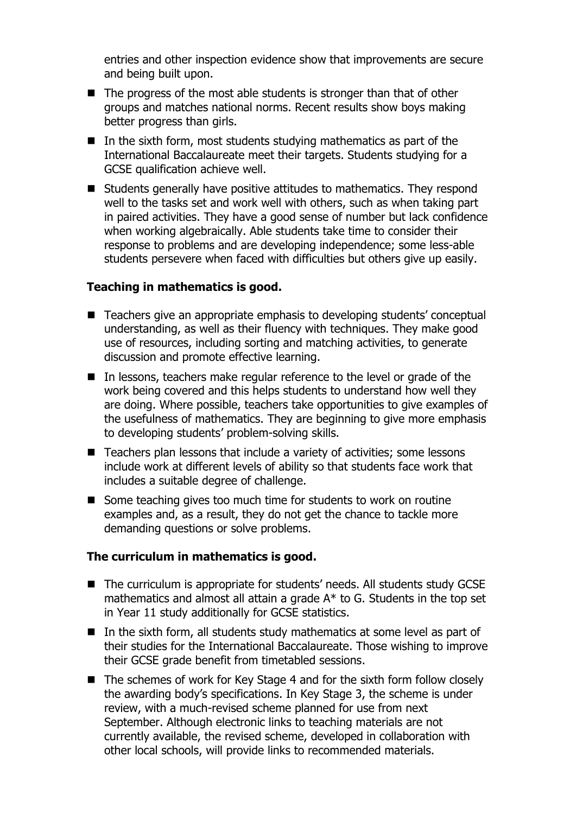entries and other inspection evidence show that improvements are secure and being built upon.

- $\blacksquare$  The progress of the most able students is stronger than that of other groups and matches national norms. Recent results show boys making better progress than girls.
- $\blacksquare$  In the sixth form, most students studying mathematics as part of the International Baccalaureate meet their targets. Students studying for a GCSE qualification achieve well.
- Students generally have positive attitudes to mathematics. They respond well to the tasks set and work well with others, such as when taking part in paired activities. They have a good sense of number but lack confidence when working algebraically. Able students take time to consider their response to problems and are developing independence; some less-able students persevere when faced with difficulties but others give up easily.

## **Teaching in mathematics is good.**

- Teachers give an appropriate emphasis to developing students' conceptual understanding, as well as their fluency with techniques. They make good use of resources, including sorting and matching activities, to generate discussion and promote effective learning.
- In lessons, teachers make regular reference to the level or grade of the work being covered and this helps students to understand how well they are doing. Where possible, teachers take opportunities to give examples of the usefulness of mathematics. They are beginning to give more emphasis to developing students' problem-solving skills.
- Teachers plan lessons that include a variety of activities; some lessons include work at different levels of ability so that students face work that includes a suitable degree of challenge.
- Some teaching gives too much time for students to work on routine examples and, as a result, they do not get the chance to tackle more demanding questions or solve problems.

### **The curriculum in mathematics is good.**

- The curriculum is appropriate for students' needs. All students study GCSE mathematics and almost all attain a grade A\* to G. Students in the top set in Year 11 study additionally for GCSE statistics.
- In the sixth form, all students study mathematics at some level as part of their studies for the International Baccalaureate. Those wishing to improve their GCSE grade benefit from timetabled sessions.
- The schemes of work for Key Stage 4 and for the sixth form follow closely the awarding body's specifications. In Key Stage 3, the scheme is under review, with a much-revised scheme planned for use from next September. Although electronic links to teaching materials are not currently available, the revised scheme, developed in collaboration with other local schools, will provide links to recommended materials.